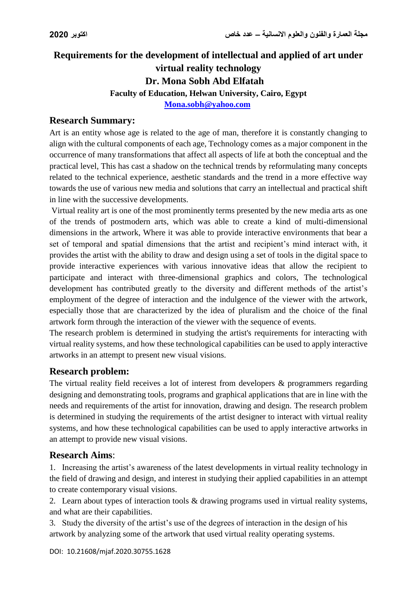# **Requirements for the development of intellectual and applied of art under virtual reality technology Dr. Mona Sobh Abd Elfatah Faculty of Education, Helwan University, Cairo, Egypt**

**[Mona.sobh@yahoo.com](mailto:Mona.sobh@yahoo.com)**

#### **Research Summary:**

Art is an entity whose age is related to the age of man, therefore it is constantly changing to align with the cultural components of each age, Technology comes as a major component in the occurrence of many transformations that affect all aspects of life at both the conceptual and the practical level, This has cast a shadow on the technical trends by reformulating many concepts related to the technical experience, aesthetic standards and the trend in a more effective way towards the use of various new media and solutions that carry an intellectual and practical shift in line with the successive developments.

Virtual reality art is one of the most prominently terms presented by the new media arts as one of the trends of postmodern arts, which was able to create a kind of multi-dimensional dimensions in the artwork, Where it was able to provide interactive environments that bear a set of temporal and spatial dimensions that the artist and recipient's mind interact with, it provides the artist with the ability to draw and design using a set of tools in the digital space to provide interactive experiences with various innovative ideas that allow the recipient to participate and interact with three-dimensional graphics and colors, The technological development has contributed greatly to the diversity and different methods of the artist's employment of the degree of interaction and the indulgence of the viewer with the artwork, especially those that are characterized by the idea of pluralism and the choice of the final artwork form through the interaction of the viewer with the sequence of events.

The research problem is determined in studying the artist's requirements for interacting with virtual reality systems, and how these technological capabilities can be used to apply interactive artworks in an attempt to present new visual visions.

#### **Research problem:**

The virtual reality field receives a lot of interest from developers & programmers regarding designing and demonstrating tools, programs and graphical applications that are in line with the needs and requirements of the artist for innovation, drawing and design. The research problem is determined in studying the requirements of the artist designer to interact with virtual reality systems, and how these technological capabilities can be used to apply interactive artworks in an attempt to provide new visual visions.

#### **Research Aims**:

1. Increasing the artist's awareness of the latest developments in virtual reality technology in the field of drawing and design, and interest in studying their applied capabilities in an attempt to create contemporary visual visions.

2. Learn about types of interaction tools & drawing programs used in virtual reality systems, and what are their capabilities.

3. Study the diversity of the artist's use of the degrees of interaction in the design of his artwork by analyzing some of the artwork that used virtual reality operating systems.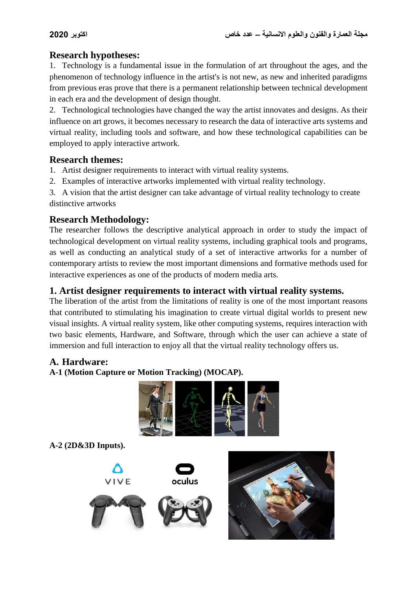## **Research hypotheses:**

1. Technology is a fundamental issue in the formulation of art throughout the ages, and the phenomenon of technology influence in the artist's is not new, as new and inherited paradigms from previous eras prove that there is a permanent relationship between technical development in each era and the development of design thought.

2. Technological technologies have changed the way the artist innovates and designs. As their influence on art grows, it becomes necessary to research the data of interactive arts systems and virtual reality, including tools and software, and how these technological capabilities can be employed to apply interactive artwork.

#### **Research themes:**

- 1. Artist designer requirements to interact with virtual reality systems.
- 2. Examples of interactive artworks implemented with virtual reality technology.

3. A vision that the artist designer can take advantage of virtual reality technology to create distinctive artworks

## **Research Methodology:**

The researcher follows the descriptive analytical approach in order to study the impact of technological development on virtual reality systems, including graphical tools and programs, as well as conducting an analytical study of a set of interactive artworks for a number of contemporary artists to review the most important dimensions and formative methods used for interactive experiences as one of the products of modern media arts.

## **1. Artist designer requirements to interact with virtual reality systems.**

The liberation of the artist from the limitations of reality is one of the most important reasons that contributed to stimulating his imagination to create virtual digital worlds to present new visual insights. A virtual reality system, like other computing systems, requires interaction with two basic elements, Hardware, and Software, through which the user can achieve a state of immersion and full interaction to enjoy all that the virtual reality technology offers us.

## **A. Hardware:**

**A-1 (Motion Capture or Motion Tracking) (MOCAP).**



**A-2 (2D&3D Inputs).** 



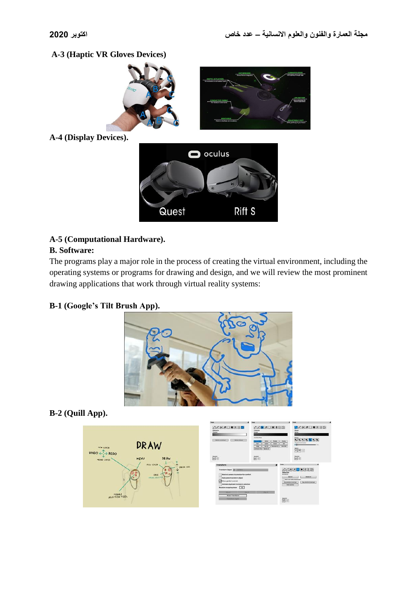## **A-3 (Haptic VR Gloves Devices)**



**A-4 (Display Devices).**



#### **A-5 (Computational Hardware).**

#### **B. Software:**

The programs play a major role in the process of creating the virtual environment, including the operating systems or programs for drawing and design, and we will review the most prominent drawing applications that work through virtual reality systems:

## **B-1 (Google's Tilt Brush App).**



## **B-2 (Quill App).**

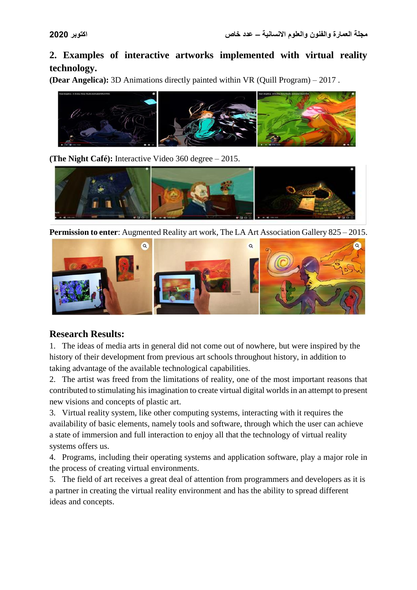## **2. Examples of interactive artworks implemented with virtual reality technology.**

**(Dear Angelica):** 3D Animations directly painted within VR (Quill Program) – 2017 .



**(The Night Café):** Interactive Video 360 degree – 2015.



**Permission to enter**: Augmented Reality art work, The LA Art Association Gallery 825 – 2015.



## **Research Results:**

1. The ideas of media arts in general did not come out of nowhere, but were inspired by the history of their development from previous art schools throughout history, in addition to taking advantage of the available technological capabilities.

2. The artist was freed from the limitations of reality, one of the most important reasons that contributed to stimulating his imagination to create virtual digital worlds in an attempt to present new visions and concepts of plastic art.

3. Virtual reality system, like other computing systems, interacting with it requires the availability of basic elements, namely tools and software, through which the user can achieve a state of immersion and full interaction to enjoy all that the technology of virtual reality systems offers us.

4. Programs, including their operating systems and application software, play a major role in the process of creating virtual environments.

5. The field of art receives a great deal of attention from programmers and developers as it is a partner in creating the virtual reality environment and has the ability to spread different ideas and concepts.